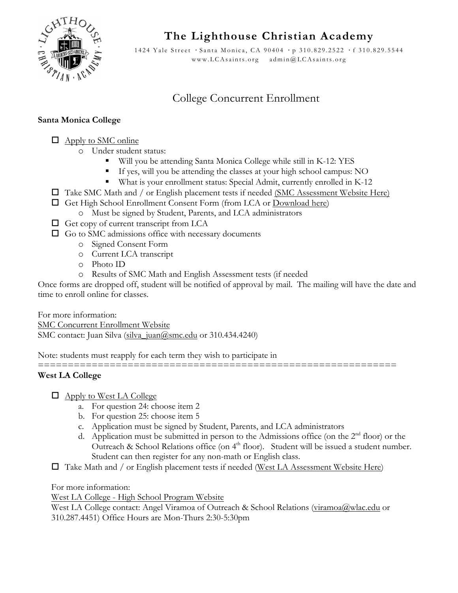

**The Lighthouse Christian Academy**

1424 Yale Street **·** Santa Monica, CA 90404 **·** p 310.829.2522 **·** f 310. 829.5544 www.LCAsaints.org admin@LCAsaints.org

## College Concurrent Enrollment

## **Santa Monica College**

 $\Box$  Apply to SMC online

- o Under student status:
	- " Will you be attending Santa Monica College while still in K-12: YES
	- " If yes, will you be attending the classes at your high school campus: NO
	- " What is your enrollment status: Special Admit, currently enrolled in K-12
- $\Box$  Take SMC Math and / or English placement tests if needed (SMC Assessment Website Here)
- ! Get High School Enrollment Consent Form (from LCA or Download here)
	- o Must be signed by Student, Parents, and LCA administrators
- $\Box$  Get copy of current transcript from LCA
- $\Box$  Go to SMC admissions office with necessary documents
	- o Signed Consent Form
		- o Current LCA transcript
		- o Photo ID
		- o Results of SMC Math and English Assessment tests (if needed

Once forms are dropped off, student will be notified of approval by mail. The mailing will have the date and time to enroll online for classes.

For more information: SMC Concurrent Enrollment Website SMC contact: Juan Silva (silva\_juan@smc.edu or 310.434.4240)

Note: students must reapply for each term they wish to participate in

============================================================

## **West LA College**

- $\Box$  Apply to West LA College
	- a. For question 24: choose item 2
	- b. For question 25: choose item 5
	- c. Application must be signed by Student, Parents, and LCA administrators
	- d. Application must be submitted in person to the Admissions office (on the  $2<sup>nd</sup>$  floor) or the Outreach & School Relations office (on 4<sup>th</sup> floor). Student will be issued a student number. Student can then register for any non-math or English class.
- $\Box$  Take Math and / or English placement tests if needed (West LA Assessment Website Here)

For more information:

West LA College - High School Program Website

West LA College contact: Angel Viramoa of Outreach & School Relations (viramoa@wlac.edu or 310.287.4451) Office Hours are Mon-Thurs 2:30-5:30pm